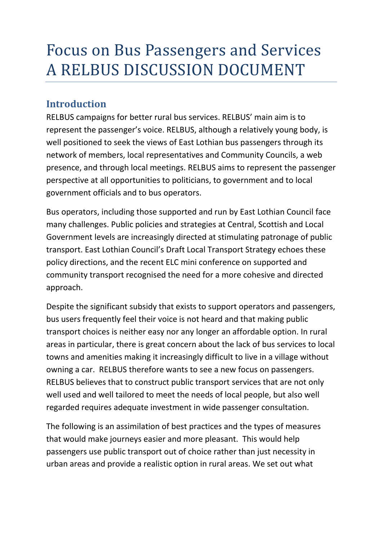# Focus on Bus Passengers and Services A RELBUS DISCUSSION DOCUMENT

# **Introduction**

RELBUS campaigns for better rural bus services. RELBUS' main aim is to represent the passenger's voice. RELBUS, although a relatively young body, is well positioned to seek the views of East Lothian bus passengers through its network of members, local representatives and Community Councils, a web presence, and through local meetings. RELBUS aims to represent the passenger perspective at all opportunities to politicians, to government and to local government officials and to bus operators.

Bus operators, including those supported and run by East Lothian Council face many challenges. Public policies and strategies at Central, Scottish and Local Government levels are increasingly directed at stimulating patronage of public transport. East Lothian Council's Draft Local Transport Strategy echoes these policy directions, and the recent ELC mini conference on supported and community transport recognised the need for a more cohesive and directed approach.

Despite the significant subsidy that exists to support operators and passengers, bus users frequently feel their voice is not heard and that making public transport choices is neither easy nor any longer an affordable option. In rural areas in particular, there is great concern about the lack of bus services to local towns and amenities making it increasingly difficult to live in a village without owning a car. RELBUS therefore wants to see a new focus on passengers. RELBUS believes that to construct public transport services that are not only well used and well tailored to meet the needs of local people, but also well regarded requires adequate investment in wide passenger consultation.

The following is an assimilation of best practices and the types of measures that would make journeys easier and more pleasant. This would help passengers use public transport out of choice rather than just necessity in urban areas and provide a realistic option in rural areas. We set out what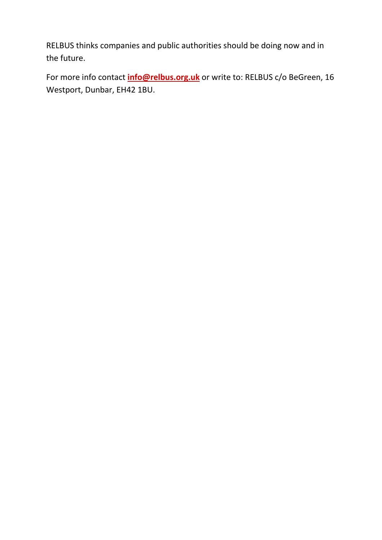RELBUS thinks companies and public authorities should be doing now and in the future.

For more info contact **info@relbus.org.uk** or write to: RELBUS c/o BeGreen, 16 Westport, Dunbar, EH42 1BU.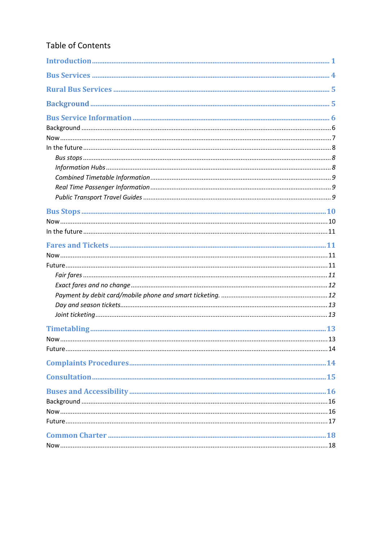## Table of Contents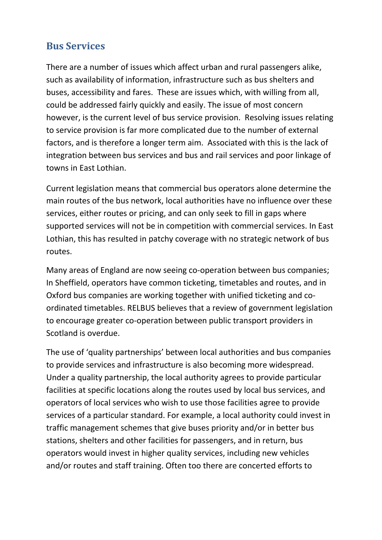# **Bus Services**

There are a number of issues which affect urban and rural passengers alike, such as availability of information, infrastructure such as bus shelters and buses, accessibility and fares. These are issues which, with willing from all, could be addressed fairly quickly and easily. The issue of most concern however, is the current level of bus service provision. Resolving issues relating to service provision is far more complicated due to the number of external factors, and is therefore a longer term aim. Associated with this is the lack of integration between bus services and bus and rail services and poor linkage of towns in East Lothian.

Current legislation means that commercial bus operators alone determine the main routes of the bus network, local authorities have no influence over these services, either routes or pricing, and can only seek to fill in gaps where supported services will not be in competition with commercial services. In East Lothian, this has resulted in patchy coverage with no strategic network of bus routes.

Many areas of England are now seeing co-operation between bus companies; In Sheffield, operators have common ticketing, timetables and routes, and in Oxford bus companies are working together with unified ticketing and coordinated timetables. RELBUS believes that a review of government legislation to encourage greater co-operation between public transport providers in Scotland is overdue.

The use of 'quality partnerships' between local authorities and bus companies to provide services and infrastructure is also becoming more widespread. Under a quality partnership, the local authority agrees to provide particular facilities at specific locations along the routes used by local bus services, and operators of local services who wish to use those facilities agree to provide services of a particular standard. For example, a local authority could invest in traffic management schemes that give buses priority and/or in better bus stations, shelters and other facilities for passengers, and in return, bus operators would invest in higher quality services, including new vehicles and/or routes and staff training. Often too there are concerted efforts to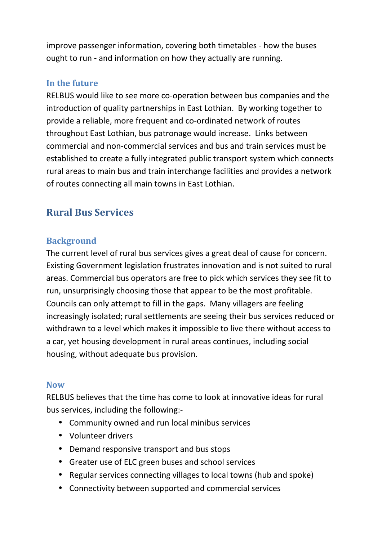improve passenger information, covering both timetables - how the buses ought to run - and information on how they actually are running.

### **In the future**

RELBUS would like to see more co-operation between bus companies and the introduction of quality partnerships in East Lothian. By working together to provide a reliable, more frequent and co-ordinated network of routes throughout East Lothian, bus patronage would increase. Links between commercial and non-commercial services and bus and train services must be established to create a fully integrated public transport system which connects rural areas to main bus and train interchange facilities and provides a network of routes connecting all main towns in East Lothian.

# **Rural Bus Services**

#### **Background**

The current level of rural bus services gives a great deal of cause for concern. Existing Government legislation frustrates innovation and is not suited to rural areas. Commercial bus operators are free to pick which services they see fit to run, unsurprisingly choosing those that appear to be the most profitable. Councils can only attempt to fill in the gaps. Many villagers are feeling increasingly isolated; rural settlements are seeing their bus services reduced or withdrawn to a level which makes it impossible to live there without access to a car, yet housing development in rural areas continues, including social housing, without adequate bus provision.

#### **Now**

RELBUS believes that the time has come to look at innovative ideas for rural bus services, including the following:-

- Community owned and run local minibus services
- Volunteer drivers
- Demand responsive transport and bus stops
- Greater use of ELC green buses and school services
- Regular services connecting villages to local towns (hub and spoke)
- Connectivity between supported and commercial services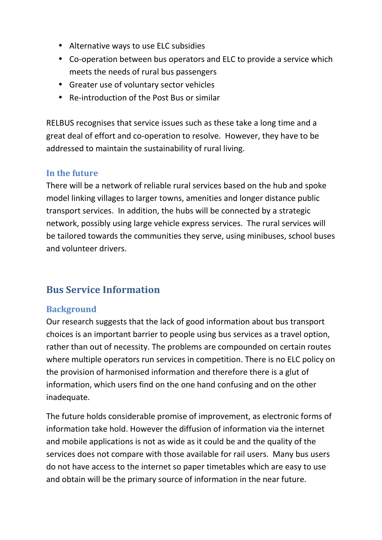- Alternative ways to use ELC subsidies
- Co-operation between bus operators and ELC to provide a service which meets the needs of rural bus passengers
- Greater use of voluntary sector vehicles
- Re-introduction of the Post Bus or similar

RELBUS recognises that service issues such as these take a long time and a great deal of effort and co-operation to resolve. However, they have to be addressed to maintain the sustainability of rural living.

## **In the future**

There will be a network of reliable rural services based on the hub and spoke model linking villages to larger towns, amenities and longer distance public transport services. In addition, the hubs will be connected by a strategic network, possibly using large vehicle express services. The rural services will be tailored towards the communities they serve, using minibuses, school buses and volunteer drivers.

# **Bus Service Information**

## **Background**

Our research suggests that the lack of good information about bus transport choices is an important barrier to people using bus services as a travel option, rather than out of necessity. The problems are compounded on certain routes where multiple operators run services in competition. There is no ELC policy on the provision of harmonised information and therefore there is a glut of information, which users find on the one hand confusing and on the other inadequate.

The future holds considerable promise of improvement, as electronic forms of information take hold. However the diffusion of information via the internet and mobile applications is not as wide as it could be and the quality of the services does not compare with those available for rail users. Many bus users do not have access to the internet so paper timetables which are easy to use and obtain will be the primary source of information in the near future.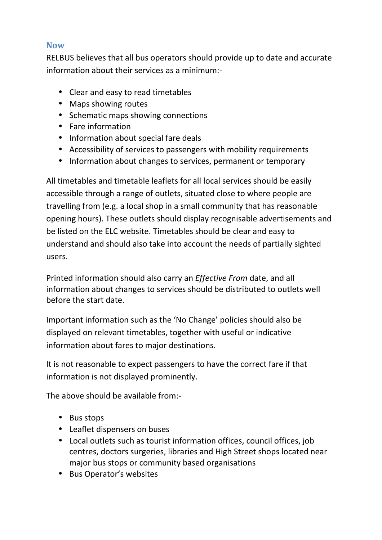## **Now**

RELBUS believes that all bus operators should provide up to date and accurate information about their services as a minimum:-

- Clear and easy to read timetables
- Maps showing routes
- Schematic maps showing connections
- Fare information
- Information about special fare deals
- Accessibility of services to passengers with mobility requirements
- Information about changes to services, permanent or temporary

All timetables and timetable leaflets for all local services should be easily accessible through a range of outlets, situated close to where people are travelling from (e.g. a local shop in a small community that has reasonable opening hours). These outlets should display recognisable advertisements and be listed on the ELC website. Timetables should be clear and easy to understand and should also take into account the needs of partially sighted users.

Printed information should also carry an *Effective From* date, and all information about changes to services should be distributed to outlets well before the start date.

Important information such as the 'No Change' policies should also be displayed on relevant timetables, together with useful or indicative information about fares to major destinations.

It is not reasonable to expect passengers to have the correct fare if that information is not displayed prominently.

The above should be available from:-

- Bus stops
- Leaflet dispensers on buses
- Local outlets such as tourist information offices, council offices, job centres, doctors surgeries, libraries and High Street shops located near major bus stops or community based organisations
- Bus Operator's websites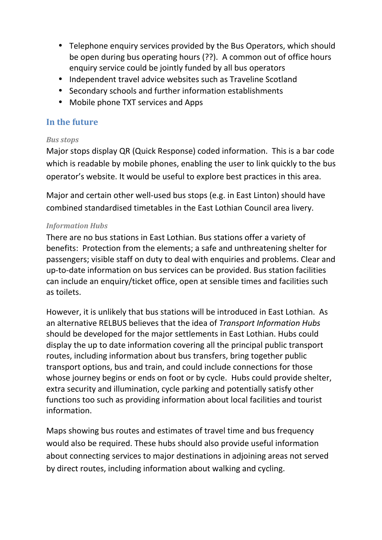- Telephone enquiry services provided by the Bus Operators, which should be open during bus operating hours (??). A common out of office hours enquiry service could be jointly funded by all bus operators
- Independent travel advice websites such as Traveline Scotland
- Secondary schools and further information establishments
- Mobile phone TXT services and Apps

## **In the future**

#### *Bus stops*

Major stops display QR (Quick Response) coded information. This is a bar code which is readable by mobile phones, enabling the user to link quickly to the bus operator's website. It would be useful to explore best practices in this area.

Major and certain other well-used bus stops (e.g. in East Linton) should have combined standardised timetables in the East Lothian Council area livery.

#### *Information Hubs*

There are no bus stations in East Lothian. Bus stations offer a variety of benefits: Protection from the elements; a safe and unthreatening shelter for passengers; visible staff on duty to deal with enquiries and problems. Clear and up-to-date information on bus services can be provided. Bus station facilities can include an enquiry/ticket office, open at sensible times and facilities such as toilets.

However, it is unlikely that bus stations will be introduced in East Lothian. As an alternative RELBUS believes that the idea of *Transport Information Hubs*  should be developed for the major settlements in East Lothian. Hubs could display the up to date information covering all the principal public transport routes, including information about bus transfers, bring together public transport options, bus and train, and could include connections for those whose journey begins or ends on foot or by cycle. Hubs could provide shelter, extra security and illumination, cycle parking and potentially satisfy other functions too such as providing information about local facilities and tourist information.

Maps showing bus routes and estimates of travel time and bus frequency would also be required. These hubs should also provide useful information about connecting services to major destinations in adjoining areas not served by direct routes, including information about walking and cycling.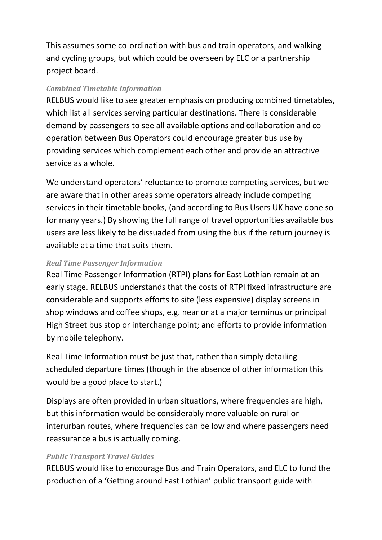This assumes some co-ordination with bus and train operators, and walking and cycling groups, but which could be overseen by ELC or a partnership project board.

#### *Combined Timetable Information*

RELBUS would like to see greater emphasis on producing combined timetables, which list all services serving particular destinations. There is considerable demand by passengers to see all available options and collaboration and cooperation between Bus Operators could encourage greater bus use by providing services which complement each other and provide an attractive service as a whole.

We understand operators' reluctance to promote competing services, but we are aware that in other areas some operators already include competing services in their timetable books, (and according to Bus Users UK have done so for many years.) By showing the full range of travel opportunities available bus users are less likely to be dissuaded from using the bus if the return journey is available at a time that suits them.

#### *Real Time Passenger Information*

Real Time Passenger Information (RTPI) plans for East Lothian remain at an early stage. RELBUS understands that the costs of RTPI fixed infrastructure are considerable and supports efforts to site (less expensive) display screens in shop windows and coffee shops, e.g. near or at a major terminus or principal High Street bus stop or interchange point; and efforts to provide information by mobile telephony.

Real Time Information must be just that, rather than simply detailing scheduled departure times (though in the absence of other information this would be a good place to start.)

Displays are often provided in urban situations, where frequencies are high, but this information would be considerably more valuable on rural or interurban routes, where frequencies can be low and where passengers need reassurance a bus is actually coming.

#### *Public Transport Travel Guides*

RELBUS would like to encourage Bus and Train Operators, and ELC to fund the production of a 'Getting around East Lothian' public transport guide with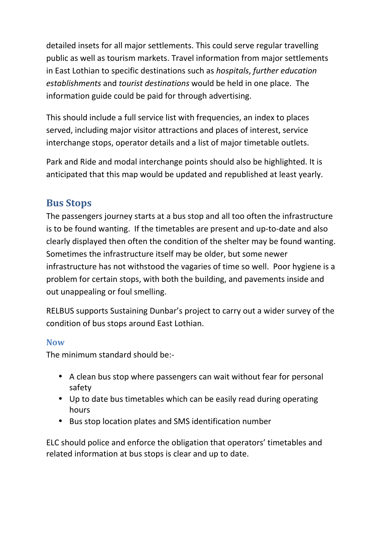detailed insets for all major settlements. This could serve regular travelling public as well as tourism markets. Travel information from major settlements in East Lothian to specific destinations such as *hospitals*, *further education establishments* and *tourist destinations* would be held in one place. The information guide could be paid for through advertising.

This should include a full service list with frequencies, an index to places served, including major visitor attractions and places of interest, service interchange stops, operator details and a list of major timetable outlets.

Park and Ride and modal interchange points should also be highlighted. It is anticipated that this map would be updated and republished at least yearly.

# **Bus Stops**

The passengers journey starts at a bus stop and all too often the infrastructure is to be found wanting. If the timetables are present and up-to-date and also clearly displayed then often the condition of the shelter may be found wanting. Sometimes the infrastructure itself may be older, but some newer infrastructure has not withstood the vagaries of time so well. Poor hygiene is a problem for certain stops, with both the building, and pavements inside and out unappealing or foul smelling.

RELBUS supports Sustaining Dunbar's project to carry out a wider survey of the condition of bus stops around East Lothian.

## **Now**

The minimum standard should be:-

- A clean bus stop where passengers can wait without fear for personal safety
- Up to date bus timetables which can be easily read during operating hours
- Bus stop location plates and SMS identification number

ELC should police and enforce the obligation that operators' timetables and related information at bus stops is clear and up to date.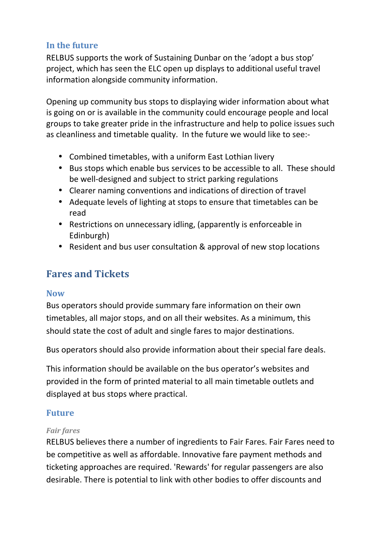## **In the future**

RELBUS supports the work of Sustaining Dunbar on the 'adopt a bus stop' project, which has seen the ELC open up displays to additional useful travel information alongside community information.

Opening up community bus stops to displaying wider information about what is going on or is available in the community could encourage people and local groups to take greater pride in the infrastructure and help to police issues such as cleanliness and timetable quality. In the future we would like to see:-

- Combined timetables, with a uniform East Lothian livery
- Bus stops which enable bus services to be accessible to all. These should be well-designed and subject to strict parking regulations
- Clearer naming conventions and indications of direction of travel
- Adequate levels of lighting at stops to ensure that timetables can be read
- Restrictions on unnecessary idling, (apparently is enforceable in Edinburgh)
- Resident and bus user consultation & approval of new stop locations

# **Fares and Tickets**

## **Now**

Bus operators should provide summary fare information on their own timetables, all major stops, and on all their websites. As a minimum, this should state the cost of adult and single fares to major destinations.

Bus operators should also provide information about their special fare deals.

This information should be available on the bus operator's websites and provided in the form of printed material to all main timetable outlets and displayed at bus stops where practical.

## **Future**

#### *Fair fares*

RELBUS believes there a number of ingredients to Fair Fares. Fair Fares need to be competitive as well as affordable. Innovative fare payment methods and ticketing approaches are required. 'Rewards' for regular passengers are also desirable. There is potential to link with other bodies to offer discounts and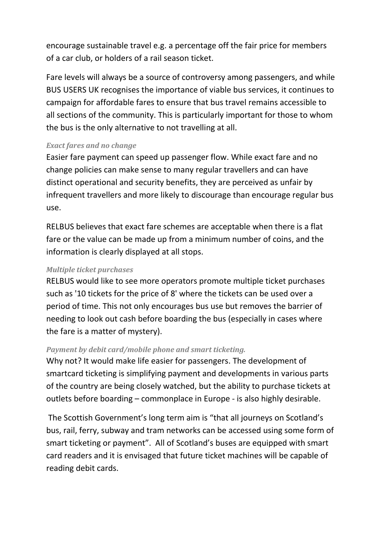encourage sustainable travel e.g. a percentage off the fair price for members of a car club, or holders of a rail season ticket.

Fare levels will always be a source of controversy among passengers, and while BUS USERS UK recognises the importance of viable bus services, it continues to campaign for affordable fares to ensure that bus travel remains accessible to all sections of the community. This is particularly important for those to whom the bus is the only alternative to not travelling at all.

#### *Exact fares and no change*

Easier fare payment can speed up passenger flow. While exact fare and no change policies can make sense to many regular travellers and can have distinct operational and security benefits, they are perceived as unfair by infrequent travellers and more likely to discourage than encourage regular bus use.

RELBUS believes that exact fare schemes are acceptable when there is a flat fare or the value can be made up from a minimum number of coins, and the information is clearly displayed at all stops.

#### *Multiple ticket purchases*

RELBUS would like to see more operators promote multiple ticket purchases such as '10 tickets for the price of 8' where the tickets can be used over a period of time. This not only encourages bus use but removes the barrier of needing to look out cash before boarding the bus (especially in cases where the fare is a matter of mystery).

#### *Payment by debit card/mobile phone and smart ticketing.*

Why not? It would make life easier for passengers. The development of smartcard ticketing is simplifying payment and developments in various parts of the country are being closely watched, but the ability to purchase tickets at outlets before boarding – commonplace in Europe - is also highly desirable.

 The Scottish Government's long term aim is "that all journeys on Scotland's bus, rail, ferry, subway and tram networks can be accessed using some form of smart ticketing or payment". All of Scotland's buses are equipped with smart card readers and it is envisaged that future ticket machines will be capable of reading debit cards.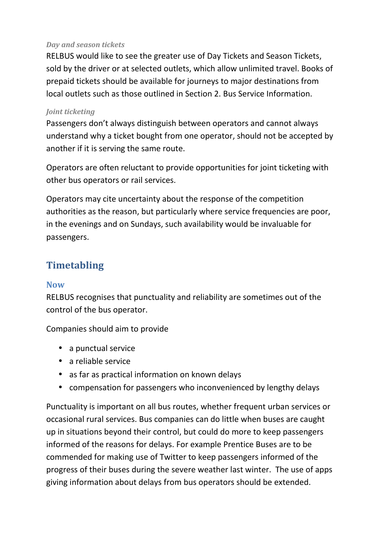#### *Day and season tickets*

RELBUS would like to see the greater use of Day Tickets and Season Tickets, sold by the driver or at selected outlets, which allow unlimited travel. Books of prepaid tickets should be available for journeys to major destinations from local outlets such as those outlined in Section 2. Bus Service Information.

#### *Joint ticketing*

Passengers don't always distinguish between operators and cannot always understand why a ticket bought from one operator, should not be accepted by another if it is serving the same route.

Operators are often reluctant to provide opportunities for joint ticketing with other bus operators or rail services.

Operators may cite uncertainty about the response of the competition authorities as the reason, but particularly where service frequencies are poor, in the evenings and on Sundays, such availability would be invaluable for passengers.

# **Timetabling**

#### **Now**

RELBUS recognises that punctuality and reliability are sometimes out of the control of the bus operator.

Companies should aim to provide

- a punctual service
- a reliable service
- as far as practical information on known delays
- compensation for passengers who inconvenienced by lengthy delays

Punctuality is important on all bus routes, whether frequent urban services or occasional rural services. Bus companies can do little when buses are caught up in situations beyond their control, but could do more to keep passengers informed of the reasons for delays. For example Prentice Buses are to be commended for making use of Twitter to keep passengers informed of the progress of their buses during the severe weather last winter. The use of apps giving information about delays from bus operators should be extended.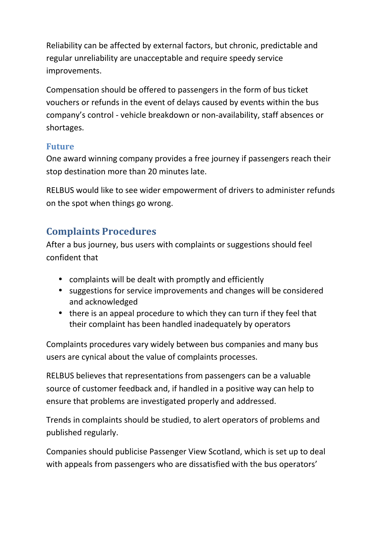Reliability can be affected by external factors, but chronic, predictable and regular unreliability are unacceptable and require speedy service improvements.

Compensation should be offered to passengers in the form of bus ticket vouchers or refunds in the event of delays caused by events within the bus company's control - vehicle breakdown or non-availability, staff absences or shortages.

## **Future**

One award winning company provides a free journey if passengers reach their stop destination more than 20 minutes late.

RELBUS would like to see wider empowerment of drivers to administer refunds on the spot when things go wrong.

# **Complaints Procedures**

After a bus journey, bus users with complaints or suggestions should feel confident that

- complaints will be dealt with promptly and efficiently
- suggestions for service improvements and changes will be considered and acknowledged
- there is an appeal procedure to which they can turn if they feel that their complaint has been handled inadequately by operators

Complaints procedures vary widely between bus companies and many bus users are cynical about the value of complaints processes.

RELBUS believes that representations from passengers can be a valuable source of customer feedback and, if handled in a positive way can help to ensure that problems are investigated properly and addressed.

Trends in complaints should be studied, to alert operators of problems and published regularly.

Companies should publicise Passenger View Scotland, which is set up to deal with appeals from passengers who are dissatisfied with the bus operators'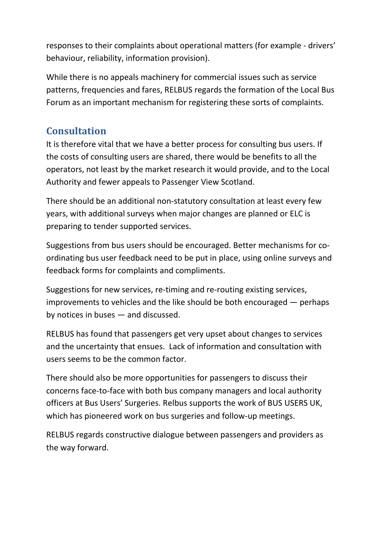responses to their complaints about operational matters (for example - drivers' behaviour, reliability, information provision).

While there is no appeals machinery for commercial issues such as service patterns, frequencies and fares, RELBUS regards the formation of the Local Bus Forum as an important mechanism for registering these sorts of complaints.

# **Consultation**

It is therefore vital that we have a better process for consulting bus users. If the costs of consulting users are shared, there would be benefits to all the operators, not least by the market research it would provide, and to the Local Authority and fewer appeals to Passenger View Scotland.

There should be an additional non-statutory consultation at least every few years, with additional surveys when major changes are planned or ELC is preparing to tender supported services.

Suggestions from bus users should be encouraged. Better mechanisms for coordinating bus user feedback need to be put in place, using online surveys and feedback forms for complaints and compliments.

Suggestions for new services, re-timing and re-routing existing services, improvements to vehicles and the like should be both encouraged — perhaps by notices in buses — and discussed.

RELBUS has found that passengers get very upset about changes to services and the uncertainty that ensues. Lack of information and consultation with users seems to be the common factor.

There should also be more opportunities for passengers to discuss their concerns face-to-face with both bus company managers and local authority officers at Bus Users' Surgeries. Relbus supports the work of BUS USERS UK, which has pioneered work on bus surgeries and follow-up meetings.

RELBUS regards constructive dialogue between passengers and providers as the way forward.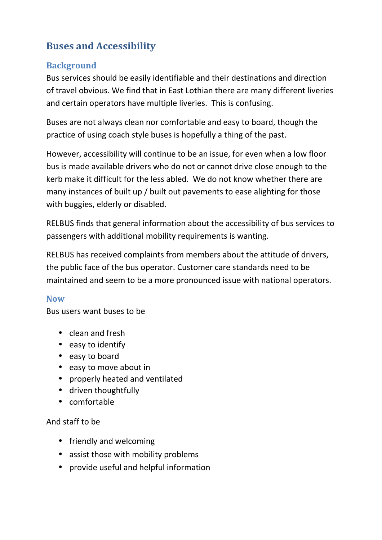# **Buses and Accessibility**

## **Background**

Bus services should be easily identifiable and their destinations and direction of travel obvious. We find that in East Lothian there are many different liveries and certain operators have multiple liveries. This is confusing.

Buses are not always clean nor comfortable and easy to board, though the practice of using coach style buses is hopefully a thing of the past.

However, accessibility will continue to be an issue, for even when a low floor bus is made available drivers who do not or cannot drive close enough to the kerb make it difficult for the less abled. We do not know whether there are many instances of built up / built out pavements to ease alighting for those with buggies, elderly or disabled.

RELBUS finds that general information about the accessibility of bus services to passengers with additional mobility requirements is wanting.

RELBUS has received complaints from members about the attitude of drivers, the public face of the bus operator. Customer care standards need to be maintained and seem to be a more pronounced issue with national operators.

## **Now**

Bus users want buses to be

- clean and fresh
- easy to identify
- easy to board
- easy to move about in
- properly heated and ventilated
- driven thoughtfully
- comfortable

#### And staff to be

- friendly and welcoming
- assist those with mobility problems
- provide useful and helpful information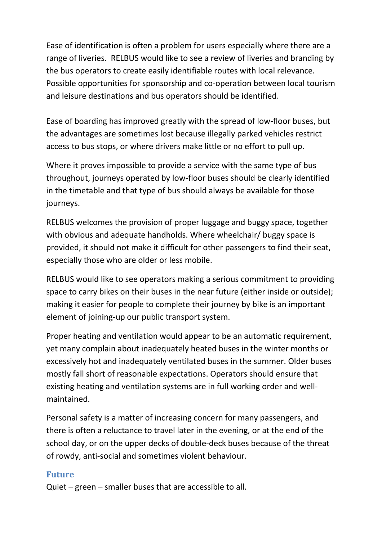Ease of identification is often a problem for users especially where there are a range of liveries. RELBUS would like to see a review of liveries and branding by the bus operators to create easily identifiable routes with local relevance. Possible opportunities for sponsorship and co-operation between local tourism and leisure destinations and bus operators should be identified.

Ease of boarding has improved greatly with the spread of low-floor buses, but the advantages are sometimes lost because illegally parked vehicles restrict access to bus stops, or where drivers make little or no effort to pull up.

Where it proves impossible to provide a service with the same type of bus throughout, journeys operated by low-floor buses should be clearly identified in the timetable and that type of bus should always be available for those journeys.

RELBUS welcomes the provision of proper luggage and buggy space, together with obvious and adequate handholds. Where wheelchair/ buggy space is provided, it should not make it difficult for other passengers to find their seat, especially those who are older or less mobile.

RELBUS would like to see operators making a serious commitment to providing space to carry bikes on their buses in the near future (either inside or outside); making it easier for people to complete their journey by bike is an important element of joining-up our public transport system.

Proper heating and ventilation would appear to be an automatic requirement, yet many complain about inadequately heated buses in the winter months or excessively hot and inadequately ventilated buses in the summer. Older buses mostly fall short of reasonable expectations. Operators should ensure that existing heating and ventilation systems are in full working order and wellmaintained.

Personal safety is a matter of increasing concern for many passengers, and there is often a reluctance to travel later in the evening, or at the end of the school day, or on the upper decks of double-deck buses because of the threat of rowdy, anti-social and sometimes violent behaviour.

## **Future**

Quiet – green – smaller buses that are accessible to all.